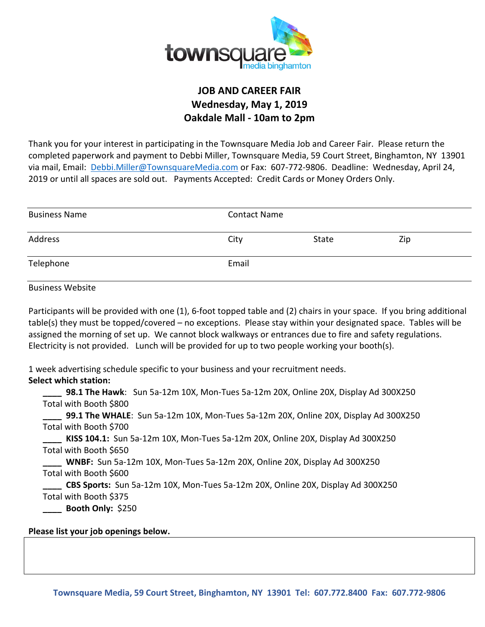

### **JOB AND CAREER FAIR Wednesday, May 1, 2019 Oakdale Mall - 10am to 2pm**

Thank you for your interest in participating in the Townsquare Media Job and Career Fair. Please return the completed paperwork and payment to Debbi Miller, Townsquare Media, 59 Court Street, Binghamton, NY 13901 via mail, Email: Debbi.Miller@TownsquareMedia.com or Fax: 607-772-9806. Deadline: Wednesday, April 24, 2019 or until all spaces are sold out. Payments Accepted: Credit Cards or Money Orders Only.

| <b>Business Name</b> | <b>Contact Name</b> |       |     |
|----------------------|---------------------|-------|-----|
| Address              | City                | State | Zip |
| Telephone            | Email               |       |     |

Business Website

Participants will be provided with one (1), 6-foot topped table and (2) chairs in your space. If you bring additional table(s) they must be topped/covered – no exceptions. Please stay within your designated space. Tables will be assigned the morning of set up. We cannot block walkways or entrances due to fire and safety regulations. Electricity is not provided. Lunch will be provided for up to two people working your booth(s).

1 week advertising schedule specific to your business and your recruitment needs.

**Select which station:** 

**\_\_\_\_ 98.1 The Hawk**: Sun 5a-12m 10X, Mon-Tues 5a-12m 20X, Online 20X, Display Ad 300X250 Total with Booth \$800

**\_\_\_\_ 99.1 The WHALE**: Sun 5a-12m 10X, Mon-Tues 5a-12m 20X, Online 20X, Display Ad 300X250 Total with Booth \$700

**\_\_\_\_ KISS 104.1:** Sun 5a-12m 10X, Mon-Tues 5a-12m 20X, Online 20X, Display Ad 300X250 Total with Booth \$650

**\_\_\_\_ WNBF:** Sun 5a-12m 10X, Mon-Tues 5a-12m 20X, Online 20X, Display Ad 300X250 Total with Booth \$600

**\_\_\_\_ CBS Sports:** Sun 5a-12m 10X, Mon-Tues 5a-12m 20X, Online 20X, Display Ad 300X250 Total with Booth \$375

**\_\_\_\_ Booth Only:** \$250

### **Please list your job openings below.**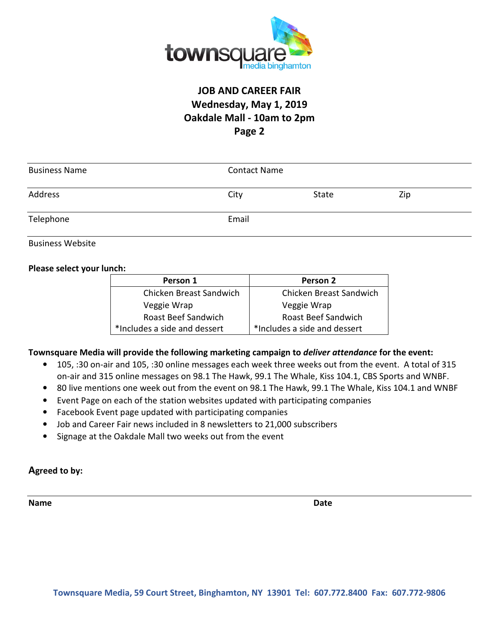

# **JOB AND CAREER FAIR Wednesday, May 1, 2019 Oakdale Mall - 10am to 2pm Page 2**

| <b>Business Name</b> | <b>Contact Name</b> |       |     |
|----------------------|---------------------|-------|-----|
| Address              | City                | State | Zip |
| Telephone            | Email               |       |     |

Business Website

#### **Please select your lunch:**

| Person 1                     | Person 2                     |
|------------------------------|------------------------------|
| Chicken Breast Sandwich      | Chicken Breast Sandwich      |
| Veggie Wrap                  | Veggie Wrap                  |
| Roast Beef Sandwich          | Roast Beef Sandwich          |
| *Includes a side and dessert | *Includes a side and dessert |

#### **Townsquare Media will provide the following marketing campaign to** *deliver attendance* **for the event:**

- 105, :30 on-air and 105, :30 online messages each week three weeks out from the event. A total of 315 on-air and 315 online messages on 98.1 The Hawk, 99.1 The Whale, Kiss 104.1, CBS Sports and WNBF.
- 80 live mentions one week out from the event on 98.1 The Hawk, 99.1 The Whale, Kiss 104.1 and WNBF
- Event Page on each of the station websites updated with participating companies
- Facebook Event page updated with participating companies
- Job and Career Fair news included in 8 newsletters to 21,000 subscribers
- Signage at the Oakdale Mall two weeks out from the event

#### **Agreed to by:**

**Name** Date **Date Date**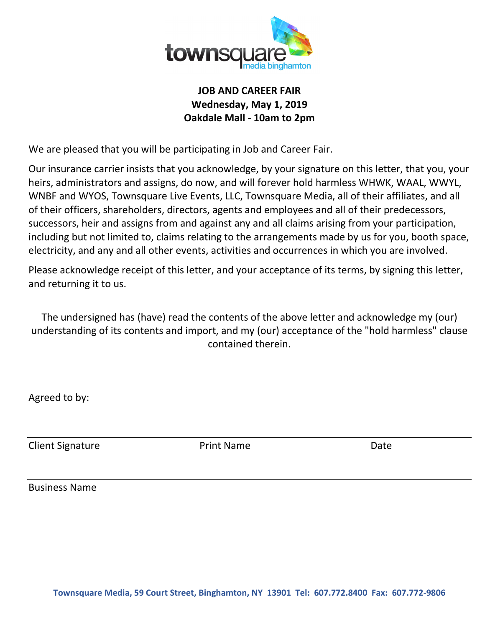

## **JOB AND CAREER FAIR Wednesday, May 1, 2019 Oakdale Mall - 10am to 2pm**

We are pleased that you will be participating in Job and Career Fair.

Our insurance carrier insists that you acknowledge, by your signature on this letter, that you, your heirs, administrators and assigns, do now, and will forever hold harmless WHWK, WAAL, WWYL, WNBF and WYOS, Townsquare Live Events, LLC, Townsquare Media, all of their affiliates, and all of their officers, shareholders, directors, agents and employees and all of their predecessors, successors, heir and assigns from and against any and all claims arising from your participation, including but not limited to, claims relating to the arrangements made by us for you, booth space, electricity, and any and all other events, activities and occurrences in which you are involved.

Please acknowledge receipt of this letter, and your acceptance of its terms, by signing this letter, and returning it to us.

The undersigned has (have) read the contents of the above letter and acknowledge my (our) understanding of its contents and import, and my (our) acceptance of the "hold harmless" clause contained therein.

Agreed to by:

Client Signature **Client Signature Print Name Date** 

Business Name